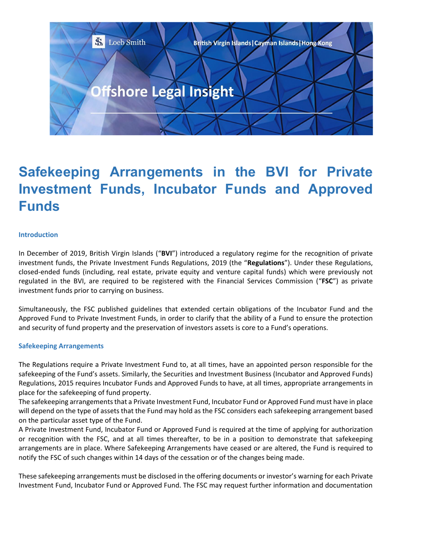

# **Safekeeping Arrangements in the BVI for Private Investment Funds, Incubator Funds and Approved Funds**

### **Introduction**

In December of 2019, British Virgin Islands ("**BVI**") introduced a regulatory regime for the recognition of private investment funds, the Private Investment Funds Regulations, 2019 (the "**Regulations**"). Under these Regulations, closed-ended funds (including, real estate, private equity and venture capital funds) which were previously not regulated in the BVI, are required to be registered with the Financial Services Commission ("**FSC**") as private investment funds prior to carrying on business.

Simultaneously, the FSC published guidelines that extended certain obligations of the Incubator Fund and the Approved Fund to Private Investment Funds, in order to clarify that the ability of a Fund to ensure the protection and security of fund property and the preservation of investors assets is core to a Fund's operations.

#### **Safekeeping Arrangements**

The Regulations require a Private Investment Fund to, at all times, have an appointed person responsible for the safekeeping of the Fund's assets. Similarly, the Securities and Investment Business (Incubator and Approved Funds) Regulations, 2015 requires Incubator Funds and Approved Funds to have, at all times, appropriate arrangements in place for the safekeeping of fund property.

The safekeeping arrangements that a Private Investment Fund, Incubator Fund or Approved Fund must have in place will depend on the type of assets that the Fund may hold as the FSC considers each safekeeping arrangement based on the particular asset type of the Fund.

A Private Investment Fund, Incubator Fund or Approved Fund is required at the time of applying for authorization or recognition with the FSC, and at all times thereafter, to be in a position to demonstrate that safekeeping arrangements are in place. Where Safekeeping Arrangements have ceased or are altered, the Fund is required to notify the FSC of such changes within 14 days of the cessation or of the changes being made.

These safekeeping arrangements must be disclosed in the offering documents or investor's warning for each Private Investment Fund, Incubator Fund or Approved Fund. The FSC may request further information and documentation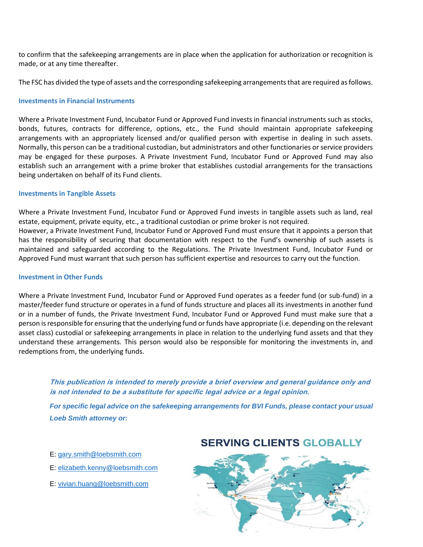to confirm that the safekeeping arrangements are in place when the application for authorization or recognition is made, or at any time thereafter.

The FSC has divided the type of assets and the corresponding safekeeping arrangements that are required as follows.

### **Investments in Financial Instruments**

Where a Private Investment Fund, Incubator Fund or Approved Fund invests in financial instruments such as stocks, bonds, futures, contracts for difference, options, etc., the Fund should maintain appropriate safekeeping arrangements with an appropriately licensed and/or qualified person with expertise in dealing in such assets. Normally, this person can be a traditional custodian, but administrators and other functionaries or service providers may be engaged for these purposes. A Private Investment Fund, Incubator Fund or Approved Fund may also establish such an arrangement with a prime broker that establishes custodial arrangements for the transactions being undertaken on behalf of its Fund clients.

### **Investments in Tangible Assets**

Where a Private Investment Fund, Incubator Fund or Approved Fund invests in tangible assets such as land, real estate, equipment, private equity, etc., a traditional custodian or prime broker is not required. However, a Private Investment Fund, Incubator Fund or Approved Fund must ensure that it appoints a person that has the responsibility of securing that documentation with respect to the Fund's ownership of such assets is maintained and safeguarded according to the Regulations. The Private Investment Fund, Incubator Fund or Approved Fund must warrant that such person has sufficient expertise and resources to carry out the function.

#### **Investment in Other Funds**

Where a Private Investment Fund, Incubator Fund or Approved Fund operates as a feeder fund (or sub-fund) in a master/feeder fund structure or operates in a fund of funds structure and places all its investments in another fund or in a number of funds, the Private Investment Fund, Incubator Fund or Approved Fund must make sure that a person is responsible for ensuring that the underlying fund or funds have appropriate (i.e. depending on the relevant asset class) custodial or safekeeping arrangements in place in relation to the underlying fund assets and that they understand these arrangements. This person would also be responsible for monitoring the investments in, and redemptions from, the underlying funds.

**This publication is intended to merely provide a brief overview and general guidance only and is not intended to be a substitute for specific legal advice or a legal opinion.** 

*For specific legal advice on the safekeeping arrangements for BVI Funds, please contact your usual Loeb Smith attorney or:*

- E: [gary.smith@loebsmith.com](mailto:gary.smith@loebsmith.com)
- E: [elizabeth.kenny@loebsmith.com](mailto:elizabeth.kenny@loebsmith.com)
- E: [vivian.huang@loebsmith.com](mailto:vivian.huang@loebsmith.com)

# **SERVING CLIENTS GLOBALLY**